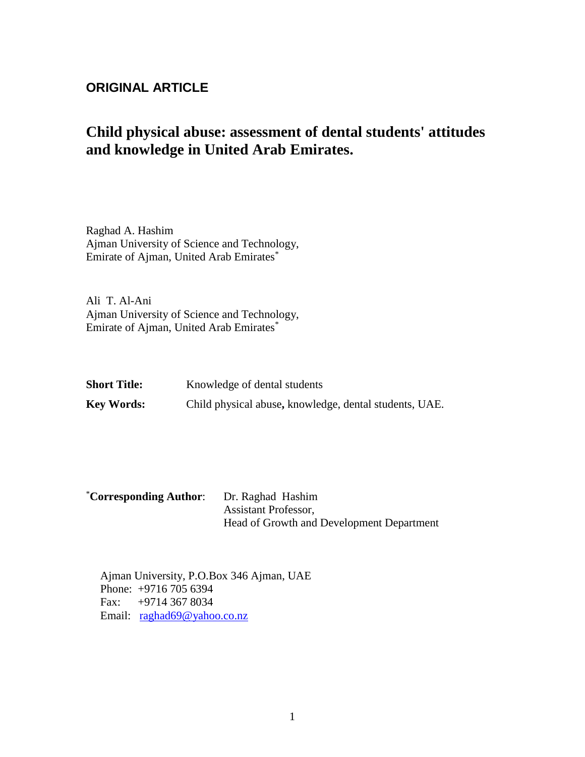# **ORIGINAL ARTICLE**

# **Child physical abuse: assessment of dental students' attitudes and knowledge in United Arab Emirates.**

Raghad A. Hashim Ajman University of Science and Technology, Emirate of Ajman, United Arab Emirates\*

Ali T. Al-Ani Ajman University of Science and Technology, Emirate of Ajman, United Arab Emirates\*

| <b>Short Title:</b> | Knowledge of dental students                           |
|---------------------|--------------------------------------------------------|
| <b>Key Words:</b>   | Child physical abuse, knowledge, dental students, UAE. |

| <i><b>*Corresponding Author:</b></i> | Dr. Raghad Hashim                         |
|--------------------------------------|-------------------------------------------|
|                                      | <b>Assistant Professor,</b>               |
|                                      | Head of Growth and Development Department |

Ajman University, P.O.Box 346 Ajman, UAE Phone: +9716 705 6394 Fax: +9714 367 8034 Email: [raghad69@yahoo.co.nz](mailto:raghad69@yahoo.co.nz)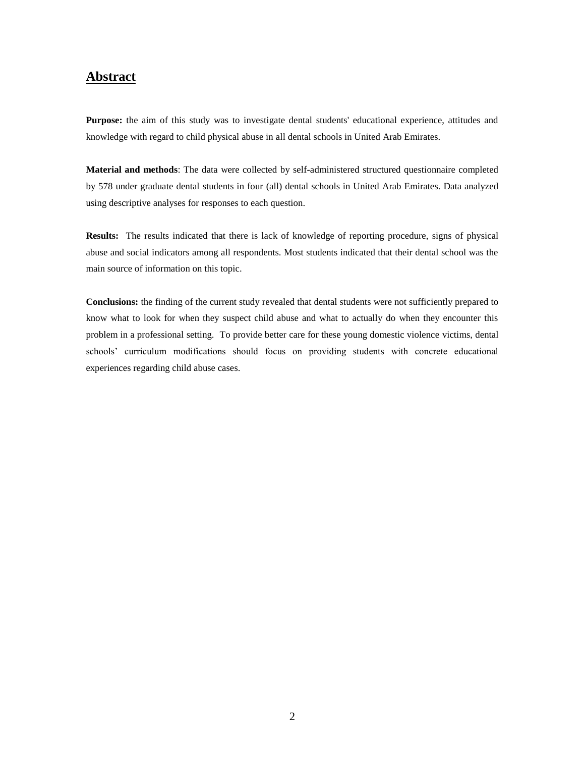### **Abstract**

**Purpose:** the aim of this study was to investigate dental students' educational experience, attitudes and knowledge with regard to child physical abuse in all dental schools in United Arab Emirates.

**Material and methods**: The data were collected by self-administered structured questionnaire completed by 578 under graduate dental students in four (all) dental schools in United Arab Emirates. Data analyzed using descriptive analyses for responses to each question.

**Results:** The results indicated that there is lack of knowledge of reporting procedure, signs of physical abuse and social indicators among all respondents. Most students indicated that their dental school was the main source of information on this topic.

**Conclusions:** the finding of the current study revealed that dental students were not sufficiently prepared to know what to look for when they suspect child abuse and what to actually do when they encounter this problem in a professional setting. To provide better care for these young domestic violence victims, dental schools' curriculum modifications should focus on providing students with concrete educational experiences regarding child abuse cases.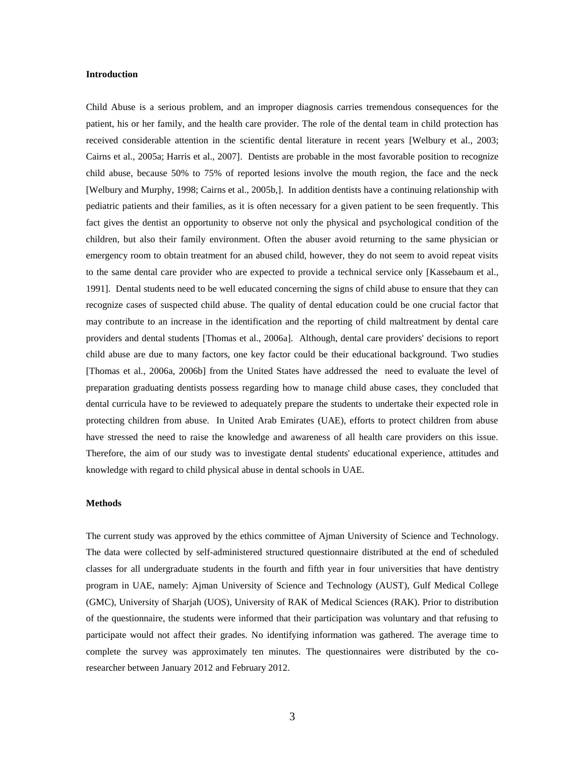#### **Introduction**

Child Abuse is a serious problem, and an improper diagnosis carries tremendous consequences for the patient, his or her family, and the health care provider. The role of the dental team in child protection has received considerable attention in the scientific dental literature in recent years [Welbury et al., 2003; Cairns et al., 2005a; Harris et al., 2007]. Dentists are probable in the most favorable position to recognize child abuse, because 50% to 75% of reported lesions involve the mouth region, the face and the neck [Welbury and Murphy, 1998; Cairns et al., 2005b,]. In addition dentists have a continuing relationship with pediatric patients and their families, as it is often necessary for a given patient to be seen frequently. This fact gives the dentist an opportunity to observe not only the physical and psychological condition of the children, but also their family environment. Often the abuser avoid returning to the same physician or emergency room to obtain treatment for an abused child, however, they do not seem to avoid repeat visits to the same dental care provider who are expected to provide a technical service only [Kassebaum et al., 1991]. Dental students need to be well educated concerning the signs of child abuse to ensure that they can recognize cases of suspected child abuse. The quality of dental education could be one crucial factor that may contribute to an increase in the identification and the reporting of child maltreatment by dental care providers and dental students [Thomas et al., 2006a]. Although, dental care providers' decisions to report child abuse are due to many factors, one key factor could be their educational background. Two studies [Thomas et al., 2006a, 2006b] from the United States have addressed the need to evaluate the level of preparation graduating dentists possess regarding how to manage child abuse cases, they concluded that dental curricula have to be reviewed to adequately prepare the students to undertake their expected role in protecting children from abuse. In United Arab Emirates (UAE), efforts to protect children from abuse have stressed the need to raise the knowledge and awareness of all health care providers on this issue. Therefore, the aim of our study was to investigate dental students' educational experience, attitudes and knowledge with regard to child physical abuse in dental schools in UAE.

#### **Methods**

The current study was approved by the ethics committee of Ajman University of Science and Technology. The data were collected by self-administered structured questionnaire distributed at the end of scheduled classes for all undergraduate students in the fourth and fifth year in four universities that have dentistry program in UAE, namely: Ajman University of Science and Technology (AUST), Gulf Medical College (GMC), University of Sharjah (UOS), University of RAK of Medical Sciences (RAK). Prior to distribution of the questionnaire, the students were informed that their participation was voluntary and that refusing to participate would not affect their grades. No identifying information was gathered. The average time to complete the survey was approximately ten minutes. The questionnaires were distributed by the coresearcher between January 2012 and February 2012.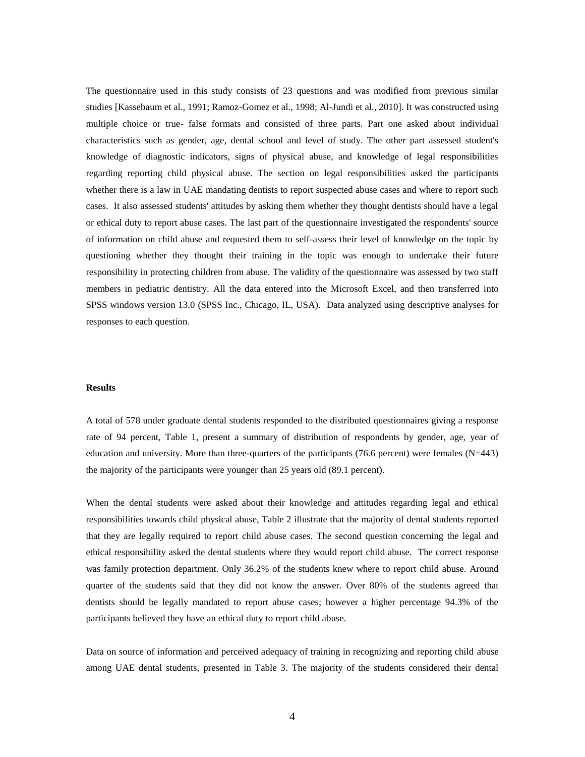The questionnaire used in this study consists of 23 questions and was modified from previous similar studies [Kassebaum et al., 1991; Ramoz-Gomez et al., 1998; Al-Jundi et al., 2010]. It was constructed using multiple choice or true- false formats and consisted of three parts. Part one asked about individual characteristics such as gender, age, dental school and level of study. The other part assessed student's knowledge of diagnostic indicators, signs of physical abuse, and knowledge of legal responsibilities regarding reporting child physical abuse. The section on legal responsibilities asked the participants whether there is a law in UAE mandating dentists to report suspected abuse cases and where to report such cases. It also assessed students' attitudes by asking them whether they thought dentists should have a legal or ethical duty to report abuse cases. The last part of the questionnaire investigated the respondents' source of information on child abuse and requested them to self-assess their level of knowledge on the topic by questioning whether they thought their training in the topic was enough to undertake their future responsibility in protecting children from abuse. The validity of the questionnaire was assessed by two staff members in pediatric dentistry. All the data entered into the Microsoft Excel, and then transferred into SPSS windows version 13.0 (SPSS Inc., Chicago, IL, USA). Data analyzed using descriptive analyses for responses to each question.

#### **Results**

A total of 578 under graduate dental students responded to the distributed questionnaires giving a response rate of 94 percent, Table 1, present a summary of distribution of respondents by gender, age, year of education and university. More than three-quarters of the participants (76.6 percent) were females  $(N=443)$ the majority of the participants were younger than 25 years old (89.1 percent).

When the dental students were asked about their knowledge and attitudes regarding legal and ethical responsibilities towards child physical abuse, Table 2 illustrate that the majority of dental students reported that they are legally required to report child abuse cases. The second question concerning the legal and ethical responsibility asked the dental students where they would report child abuse. The correct response was family protection department. Only 36.2% of the students knew where to report child abuse. Around quarter of the students said that they did not know the answer. Over 80% of the students agreed that dentists should be legally mandated to report abuse cases; however a higher percentage 94.3% of the participants believed they have an ethical duty to report child abuse.

Data on source of information and perceived adequacy of training in recognizing and reporting child abuse among UAE dental students, presented in Table 3. The majority of the students considered their dental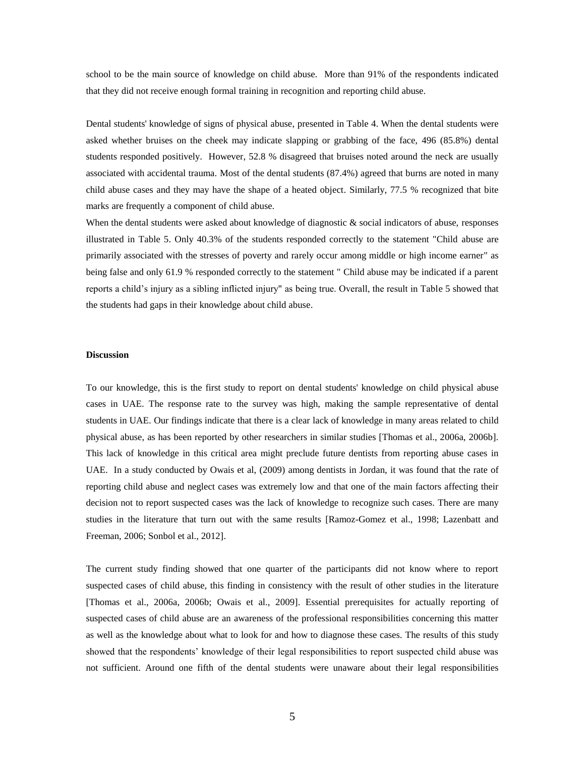school to be the main source of knowledge on child abuse. More than 91% of the respondents indicated that they did not receive enough formal training in recognition and reporting child abuse.

Dental students' knowledge of signs of physical abuse, presented in Table 4. When the dental students were asked whether bruises on the cheek may indicate slapping or grabbing of the face, 496 (85.8%) dental students responded positively. However, 52.8 % disagreed that bruises noted around the neck are usually associated with accidental trauma. Most of the dental students (87.4%) agreed that burns are noted in many child abuse cases and they may have the shape of a heated object. Similarly, 77.5 % recognized that bite marks are frequently a component of child abuse.

When the dental students were asked about knowledge of diagnostic & social indicators of abuse, responses illustrated in Table 5. Only 40.3% of the students responded correctly to the statement "Child abuse are primarily associated with the stresses of poverty and rarely occur among middle or high income earner" as being false and only 61.9 % responded correctly to the statement " Child abuse may be indicated if a parent reports a child's injury as a sibling inflicted injury" as being true. Overall, the result in Table 5 showed that the students had gaps in their knowledge about child abuse.

#### **Discussion**

To our knowledge, this is the first study to report on dental students' knowledge on child physical abuse cases in UAE. The response rate to the survey was high, making the sample representative of dental students in UAE. Our findings indicate that there is a clear lack of knowledge in many areas related to child physical abuse, as has been reported by other researchers in similar studies [Thomas et al., 2006a, 2006b]. This lack of knowledge in this critical area might preclude future dentists from reporting abuse cases in UAE. In a study conducted by Owais et al, (2009) among dentists in Jordan, it was found that the rate of reporting child abuse and neglect cases was extremely low and that one of the main factors affecting their decision not to report suspected cases was the lack of knowledge to recognize such cases. There are many studies in the literature that turn out with the same results [Ramoz-Gomez et al., 1998; Lazenbatt and Freeman, 2006; Sonbol et al., 2012].

The current study finding showed that one quarter of the participants did not know where to report suspected cases of child abuse, this finding in consistency with the result of other studies in the literature [Thomas et al., 2006a, 2006b; Owais et al., 2009]. Essential prerequisites for actually reporting of suspected cases of child abuse are an awareness of the professional responsibilities concerning this matter as well as the knowledge about what to look for and how to diagnose these cases. The results of this study showed that the respondents' knowledge of their legal responsibilities to report suspected child abuse was not sufficient. Around one fifth of the dental students were unaware about their legal responsibilities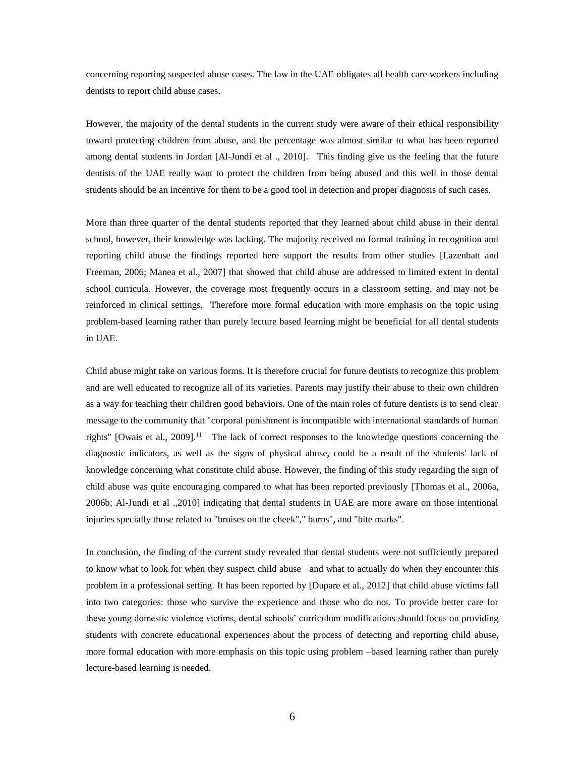concerning reporting suspected abuse cases. The law in the UAE obligates all health care workers including dentists to report child abuse cases.

However, the majority of the dental students in the current study were aware of their ethical responsibility toward protecting children from abuse, and the percentage was almost similar to what has been reported among dental students in Jordan [Al-Jundi et al ., 2010]. This finding give us the feeling that the future dentists of the UAE really want to protect the children from being abused and this well in those dental students should be an incentive for them to be a good tool in detection and proper diagnosis of such cases.

More than three quarter of the dental students reported that they learned about child abuse in their dental school, however, their knowledge was lacking. The majority received no formal training in recognition and reporting child abuse the findings reported here support the results from other studies [Lazenbatt and Freeman, 2006; Manea et al., 2007] that showed that child abuse are addressed to limited extent in dental school curricula. However, the coverage most frequently occurs in a classroom setting, and may not be reinforced in clinical settings. Therefore more formal education with more emphasis on the topic using problem-based learning rather than purely lecture based learning might be beneficial for all dental students in UAE.

Child abuse might take on various forms. It is therefore crucial for future dentists to recognize this problem and are well educated to recognize all of its varieties. Parents may justify their abuse to their own children as a way for teaching their children good behaviors. One of the main roles of future dentists is to send clear message to the community that "corporal punishment is incompatible with international standards of human rights" [Owais et al., 2009].<sup>11</sup> The lack of correct responses to the knowledge questions concerning the diagnostic indicators, as well as the signs of physical abuse, could be a result of the students' lack of knowledge concerning what constitute child abuse. However, the finding of this study regarding the sign of child abuse was quite encouraging compared to what has been reported previously [Thomas et al., 2006a, 2006b; Al-Jundi et al .,2010] indicating that dental students in UAE are more aware on those intentional injuries specially those related to "bruises on the cheek"," burns", and "bite marks".

In conclusion, the finding of the current study revealed that dental students were not sufficiently prepared to know what to look for when they suspect child abuse and what to actually do when they encounter this problem in a professional setting. It has been reported by [Dupare et al., 2012] that child abuse victims fall into two categories: those who survive the experience and those who do not. To provide better care for these young domestic violence victims, dental schools' curriculum modifications should focus on providing students with concrete educational experiences about the process of detecting and reporting child abuse, more formal education with more emphasis on this topic using problem –based learning rather than purely lecture-based learning is needed.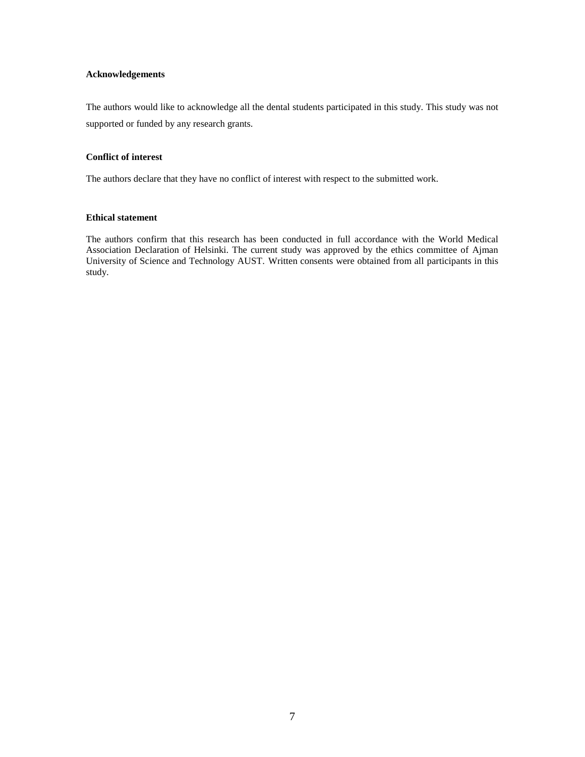#### **Acknowledgements**

The authors would like to acknowledge all the dental students participated in this study. This study was not supported or funded by any research grants.

#### **Conflict of interest**

The authors declare that they have no conflict of interest with respect to the submitted work.

#### **Ethical statement**

The authors confirm that this research has been conducted in full accordance with the World Medical Association Declaration of Helsinki. The current study was approved by the ethics committee of Ajman University of Science and Technology AUST. Written consents were obtained from all participants in this study.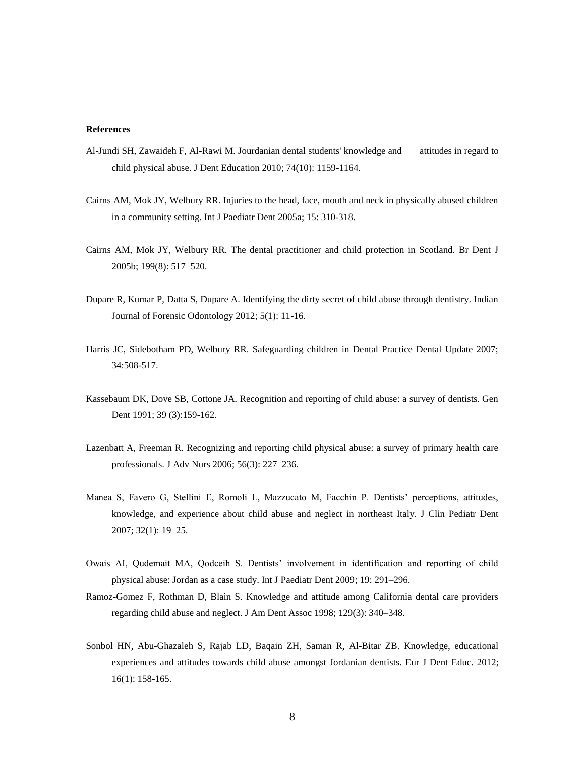#### **References**

- Al-Jundi SH, Zawaideh F, Al-Rawi M. Jourdanian dental students' knowledge and attitudes in regard to child physical abuse. J Dent Education 2010; 74(10): 1159-1164.
- Cairns AM, Mok JY, Welbury RR. Injuries to the head, face, mouth and neck in physically abused children in a community setting. Int J Paediatr Dent 2005a; 15: 310-318.
- Cairns AM, Mok JY, Welbury RR. The dental practitioner and child protection in Scotland. Br Dent J 2005b; 199(8): 517–520.
- Dupare R, Kumar P, Datta S, Dupare A. Identifying the dirty secret of child abuse through dentistry. Indian Journal of Forensic Odontology 2012; 5(1): 11-16.
- Harris JC, Sidebotham PD, Welbury RR. Safeguarding children in Dental Practice Dental Update 2007; 34:508-517.
- Kassebaum DK, Dove SB, Cottone JA. Recognition and reporting of child abuse: a survey of dentists. Gen Dent 1991; 39 (3):159-162.
- Lazenbatt A, Freeman R. Recognizing and reporting child physical abuse: a survey of primary health care professionals. J Adv Nurs 2006; 56(3): 227–236.
- Manea S, Favero G, Stellini E, Romoli L, Mazzucato M, Facchin P. Dentists' perceptions, attitudes, knowledge, and experience about child abuse and neglect in northeast Italy. J Clin Pediatr Dent 2007; 32(1): 19–25.
- Owais AI, Qudemait MA, Qodceih S. Dentists' involvement in identification and reporting of child physical abuse: Jordan as a case study. Int J Paediatr Dent 2009; 19: 291–296.
- Ramoz-Gomez F, Rothman D, Blain S. Knowledge and attitude among California dental care providers regarding child abuse and neglect. J Am Dent Assoc 1998; 129(3): 340–348.
- [Sonbol HN,](http://www.ncbi.nlm.nih.gov/pubmed?term=Sonbol%20HN%5BAuthor%5D&cauthor=true&cauthor_uid=22251340) [Abu-Ghazaleh S,](http://www.ncbi.nlm.nih.gov/pubmed?term=Abu-Ghazaleh%20S%5BAuthor%5D&cauthor=true&cauthor_uid=22251340) [Rajab LD,](http://www.ncbi.nlm.nih.gov/pubmed?term=Rajab%20LD%5BAuthor%5D&cauthor=true&cauthor_uid=22251340) [Baqain ZH,](http://www.ncbi.nlm.nih.gov/pubmed?term=Baqain%20ZH%5BAuthor%5D&cauthor=true&cauthor_uid=22251340) [Saman R,](http://www.ncbi.nlm.nih.gov/pubmed?term=Saman%20R%5BAuthor%5D&cauthor=true&cauthor_uid=22251340) [Al-Bitar ZB.](http://www.ncbi.nlm.nih.gov/pubmed?term=Al-Bitar%20ZB%5BAuthor%5D&cauthor=true&cauthor_uid=22251340) Knowledge, educational experiences and attitudes towards child abuse amongst Jordanian dentists. [Eur J Dent Educ.](http://www.ncbi.nlm.nih.gov/pubmed/22251340##) 2012; 16(1): 158-165.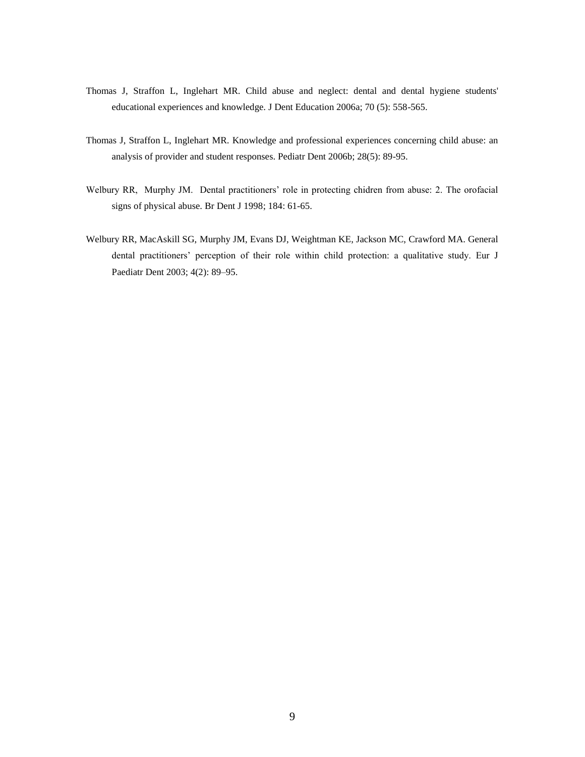- Thomas J, Straffon L, Inglehart MR. Child abuse and neglect: dental and dental hygiene students' educational experiences and knowledge. J Dent Education 2006a; 70 (5): 558-565.
- Thomas J, Straffon L, Inglehart MR. Knowledge and professional experiences concerning child abuse: an analysis of provider and student responses. Pediatr Dent 2006b; 28(5): 89-95.
- Welbury RR, Murphy JM. Dental practitioners' role in protecting chidren from abuse: 2. The orofacial signs of physical abuse. Br Dent J 1998; 184: 61-65.
- Welbury RR, MacAskill SG, Murphy JM, Evans DJ, Weightman KE, Jackson MC, Crawford MA. General dental practitioners' perception of their role within child protection: a qualitative study. Eur J Paediatr Dent 2003; 4(2): 89–95.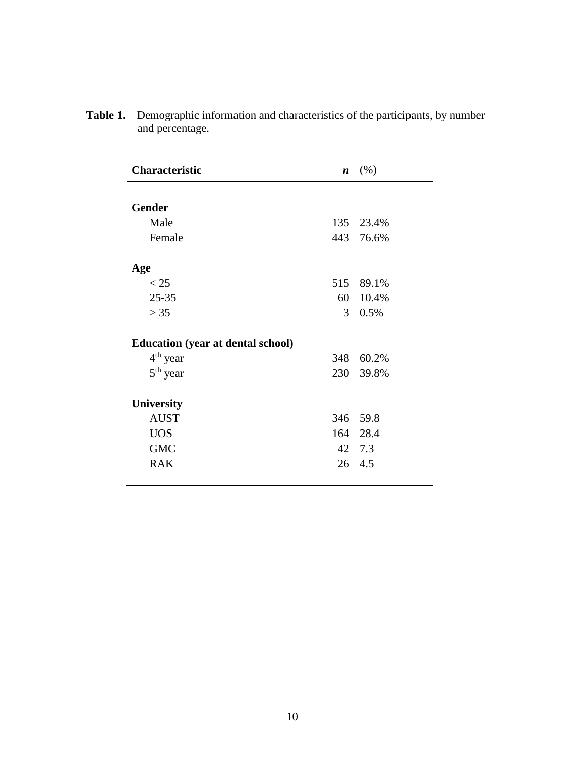| <b>Characteristic</b>                    | n              | (% )      |
|------------------------------------------|----------------|-----------|
|                                          |                |           |
| <b>Gender</b>                            |                |           |
| Male                                     |                | 135 23.4% |
| Female                                   |                | 443 76.6% |
| Age                                      |                |           |
| $<$ 25                                   |                | 515 89.1% |
| $25 - 35$                                |                | 60 10.4%  |
| > 35                                     | 3 <sup>1</sup> | 0.5%      |
| <b>Education (year at dental school)</b> |                |           |
| $4th$ year                               | 348            | 60.2%     |
| $5th$ year                               |                | 230 39.8% |
| <b>University</b>                        |                |           |
| <b>AUST</b>                              |                | 346 59.8  |
| <b>UOS</b>                               |                | 164 28.4  |
| <b>GMC</b>                               |                | 42 7.3    |
| <b>RAK</b>                               |                | 26 4.5    |

**Table 1.** Demographic information and characteristics of the participants, by number and percentage.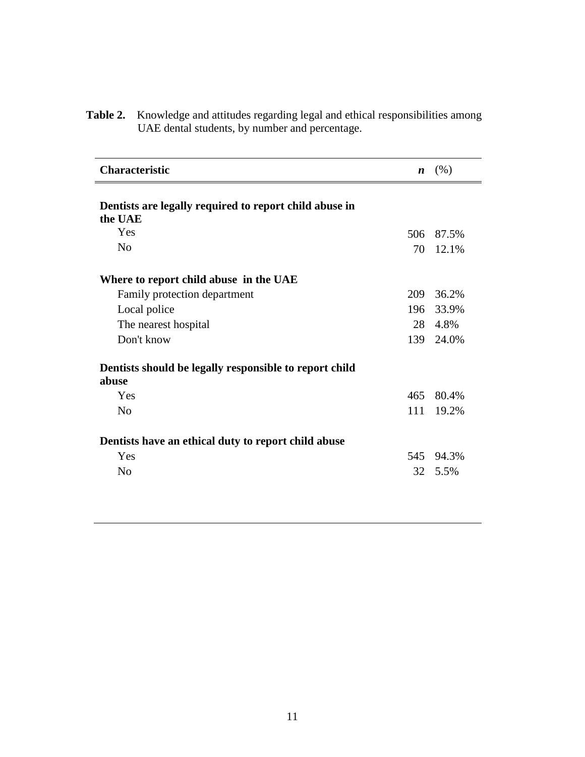| <b>Characteristic</b>                                             | $\boldsymbol{n}$ | (% )  |
|-------------------------------------------------------------------|------------------|-------|
| Dentists are legally required to report child abuse in<br>the UAE |                  |       |
| Yes                                                               | 506              | 87.5% |
| N <sub>o</sub>                                                    | 70               | 12.1% |
| Where to report child abuse in the UAE                            |                  |       |
| Family protection department                                      | 209              | 36.2% |
| Local police                                                      | 196              | 33.9% |
| The nearest hospital                                              | 28               | 4.8%  |
| Don't know                                                        | 139              | 24.0% |
| Dentists should be legally responsible to report child<br>abuse   |                  |       |
| Yes                                                               | 465              | 80.4% |
| N <sub>o</sub>                                                    | 111              | 19.2% |
| Dentists have an ethical duty to report child abuse               |                  |       |
| Yes                                                               | 545              | 94.3% |
| No                                                                | 32               | 5.5%  |

**Table 2.** Knowledge and attitudes regarding legal and ethical responsibilities among UAE dental students, by number and percentage.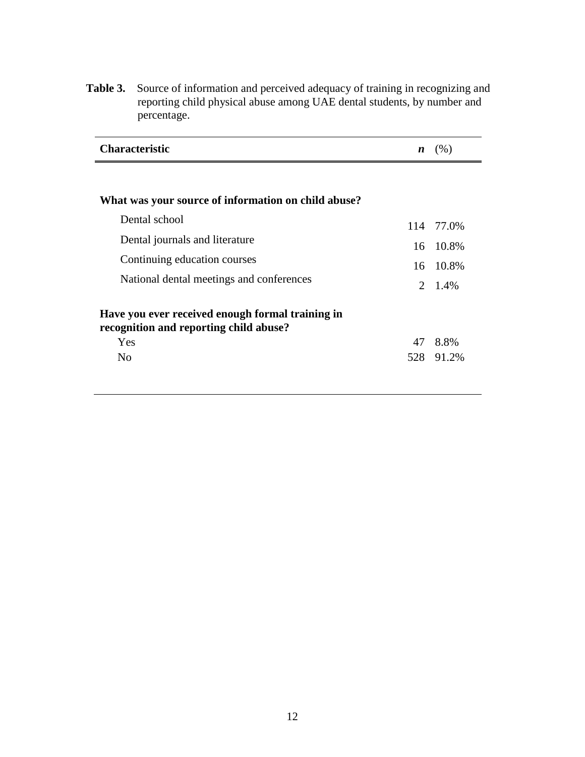Table 3. Source of information and perceived adequacy of training in recognizing and reporting child physical abuse among UAE dental students, by number and percentage.

| <b>Characteristic</b> | (% ) |
|-----------------------|------|
|                       |      |

| What was your source of information on child abuse?                                               |    |           |
|---------------------------------------------------------------------------------------------------|----|-----------|
| Dental school                                                                                     |    | 114 77.0% |
| Dental journals and literature                                                                    |    | 16 10.8%  |
| Continuing education courses                                                                      |    | 16 10.8%  |
| National dental meetings and conferences                                                          |    | 2 1.4%    |
| Have you ever received enough formal training in<br>recognition and reporting child abuse?<br>Yes | 47 | 8.8%      |
| N <sub>0</sub>                                                                                    |    | 528 91.2% |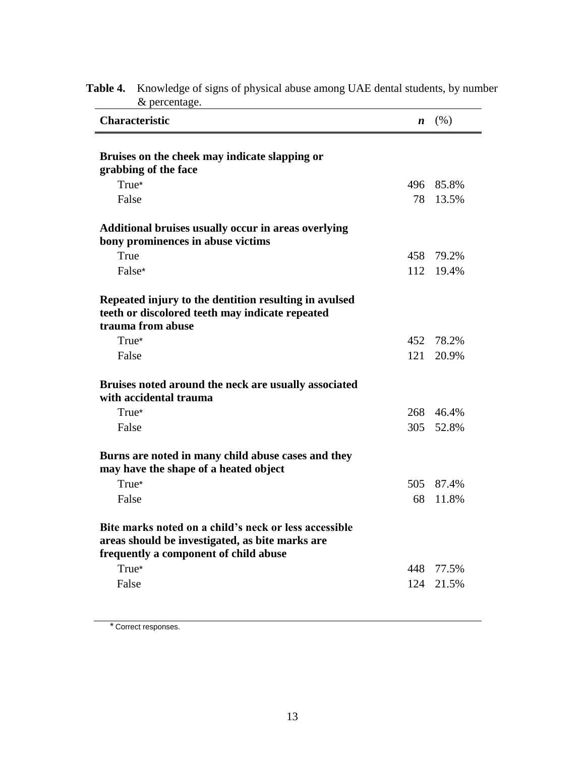| <b>Characteristic</b>                                                                                                                             | n    | (% )  |
|---------------------------------------------------------------------------------------------------------------------------------------------------|------|-------|
|                                                                                                                                                   |      |       |
| Bruises on the cheek may indicate slapping or<br>grabbing of the face                                                                             |      |       |
| True*                                                                                                                                             | 496  | 85.8% |
| False                                                                                                                                             | 78   | 13.5% |
| <b>Additional bruises usually occur in areas overlying</b>                                                                                        |      |       |
| bony prominences in abuse victims                                                                                                                 |      |       |
| True                                                                                                                                              | 458  | 79.2% |
| False*                                                                                                                                            | 112  | 19.4% |
| Repeated injury to the dentition resulting in avulsed<br>teeth or discolored teeth may indicate repeated                                          |      |       |
| trauma from abuse                                                                                                                                 |      |       |
| True*                                                                                                                                             | 452  | 78.2% |
| False                                                                                                                                             | 121  | 20.9% |
| Bruises noted around the neck are usually associated<br>with accidental trauma                                                                    |      |       |
| True*                                                                                                                                             | 268  | 46.4% |
| False                                                                                                                                             | 305  | 52.8% |
| Burns are noted in many child abuse cases and they<br>may have the shape of a heated object                                                       |      |       |
| True*                                                                                                                                             | 505  | 87.4% |
| False                                                                                                                                             | 68   | 11.8% |
| Bite marks noted on a child's neck or less accessible<br>areas should be investigated, as bite marks are<br>frequently a component of child abuse |      |       |
| True*                                                                                                                                             | 448. | 77.5% |
| False                                                                                                                                             | 124  | 21.5% |
|                                                                                                                                                   |      |       |

## **Table 4.** Knowledge of signs of physical abuse among UAE dental students, by number & percentage.

\* Correct responses.